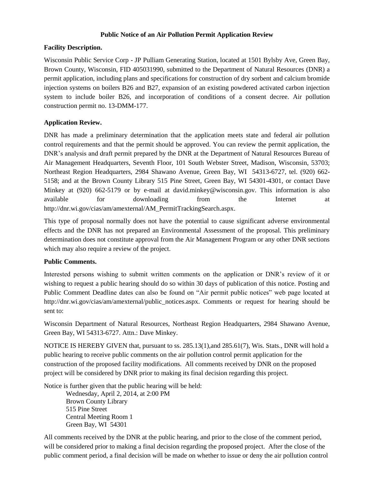## **Public Notice of an Air Pollution Permit Application Review**

## **Facility Description.**

Wisconsin Public Service Corp - JP Pulliam Generating Station, located at 1501 Bylsby Ave, Green Bay, Brown County, Wisconsin, FID 405031990, submitted to the Department of Natural Resources (DNR) a permit application, including plans and specifications for construction of dry sorbent and calcium bromide injection systems on boilers B26 and B27, expansion of an existing powdered activated carbon injection system to include boiler B26, and incorporation of conditions of a consent decree. Air pollution construction permit no. 13-DMM-177.

## **Application Review.**

DNR has made a preliminary determination that the application meets state and federal air pollution control requirements and that the permit should be approved. You can review the permit application, the DNR's analysis and draft permit prepared by the DNR at the Department of Natural Resources Bureau of Air Management Headquarters, Seventh Floor, 101 South Webster Street, Madison, Wisconsin, 53703; Northeast Region Headquarters, 2984 Shawano Avenue, Green Bay, WI 54313-6727, tel. (920) 662- 5158; and at the Brown County Library 515 Pine Street, Green Bay, WI 54301-4301, or contact Dave Minkey at (920) 662-5179 or by e-mail at david.minkey@wisconsin.gov. This information is also available for downloading from the Internet at http://dnr.wi.gov/cias/am/amexternal/AM\_PermitTrackingSearch.aspx.

This type of proposal normally does not have the potential to cause significant adverse environmental effects and the DNR has not prepared an Environmental Assessment of the proposal. This preliminary determination does not constitute approval from the Air Management Program or any other DNR sections which may also require a review of the project.

## **Public Comments.**

Interested persons wishing to submit written comments on the application or DNR's review of it or wishing to request a public hearing should do so within 30 days of publication of this notice. Posting and Public Comment Deadline dates can also be found on "Air permit public notices" web page located at http://dnr.wi.gov/cias/am/amexternal/public\_notices.aspx. Comments or request for hearing should be sent to:

Wisconsin Department of Natural Resources, Northeast Region Headquarters, 2984 Shawano Avenue, Green Bay, WI 54313-6727. Attn.: Dave Minkey.

NOTICE IS HEREBY GIVEN that, pursuant to ss. 285.13(1),and 285.61(7), Wis. Stats., DNR will hold a public hearing to receive public comments on the air pollution control permit application for the construction of the proposed facility modifications. All comments received by DNR on the proposed project will be considered by DNR prior to making its final decision regarding this project.

Notice is further given that the public hearing will be held:

Wednesday, April 2, 2014, at 2:00 PM Brown County Library 515 Pine Street Central Meeting Room 1 Green Bay, WI 54301

All comments received by the DNR at the public hearing, and prior to the close of the comment period, will be considered prior to making a final decision regarding the proposed project. After the close of the public comment period, a final decision will be made on whether to issue or deny the air pollution control